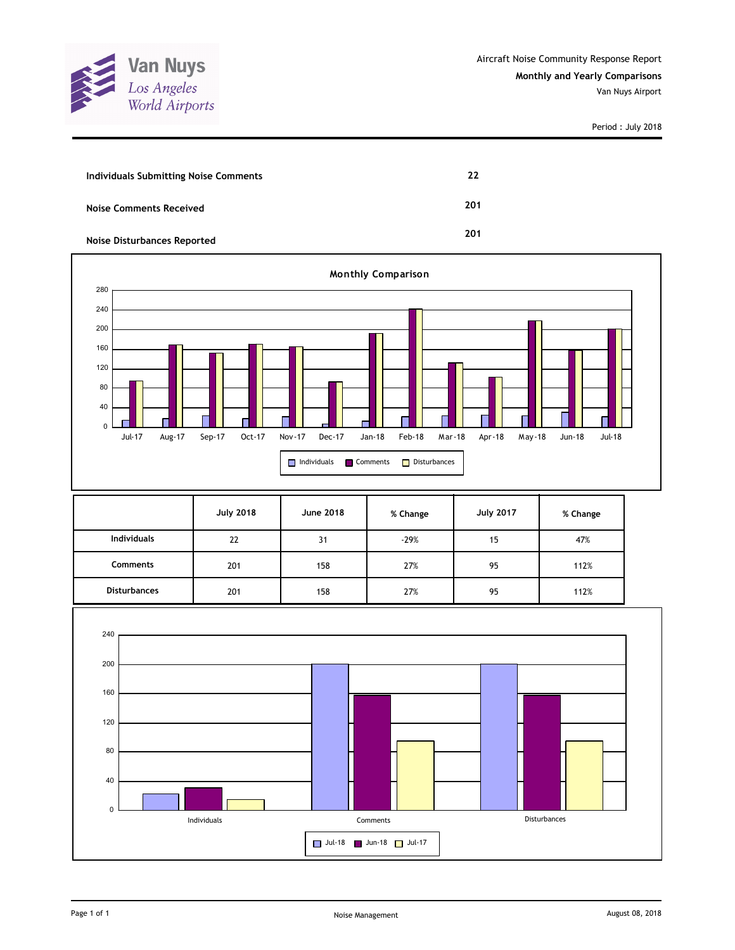

| Individuals Submitting Noise Comments | 22  |
|---------------------------------------|-----|
| <b>Noise Comments Received</b>        | 201 |
| <b>Noise Disturbances Reported</b>    | 201 |



|                     | <b>July 2018</b> | <b>June 2018</b> | % Change | <b>July 2017</b> | % Change |
|---------------------|------------------|------------------|----------|------------------|----------|
| <b>Individuals</b>  | 22               | 31               | $-29%$   | 15               | 47%      |
| <b>Comments</b>     | 201              | 158              | 27%      | 95               | 112%     |
| <b>Disturbances</b> | 201              | 158              | 27%      | 95               | 112%     |

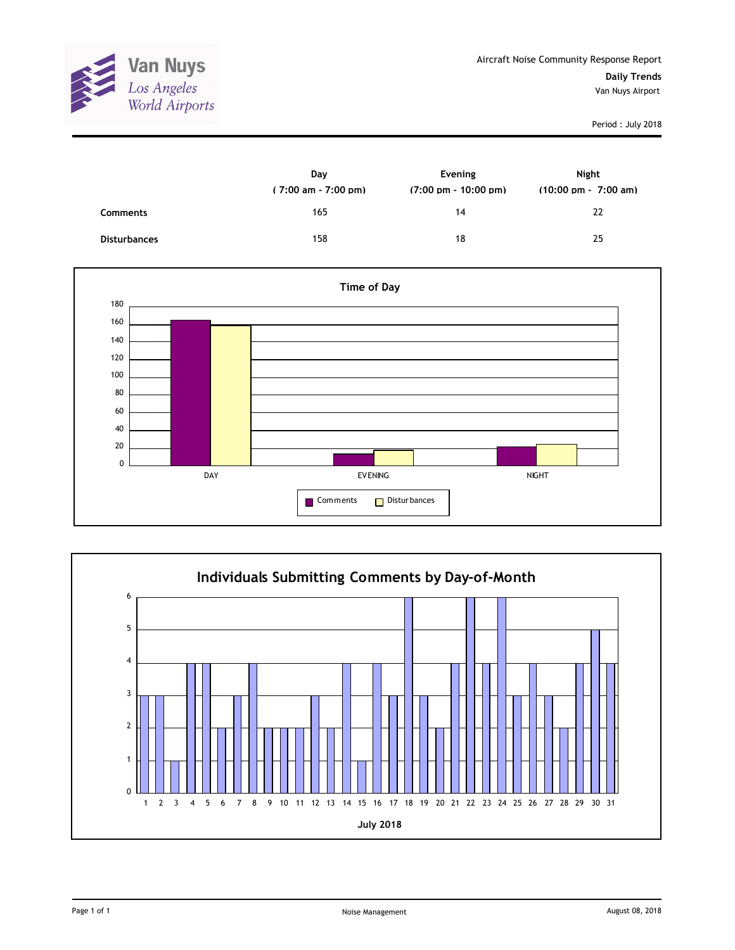

|                     | Day<br>(7:00 am - 7:00 pm) | Evening<br>$(7:00 \text{ pm} - 10:00 \text{ pm})$ | Night<br>$(10:00 \text{ pm} - 7:00 \text{ am})$ |
|---------------------|----------------------------|---------------------------------------------------|-------------------------------------------------|
| <b>Comments</b>     | 165                        | 14                                                | 22                                              |
| <b>Disturbances</b> | 158                        | 18                                                | 25                                              |



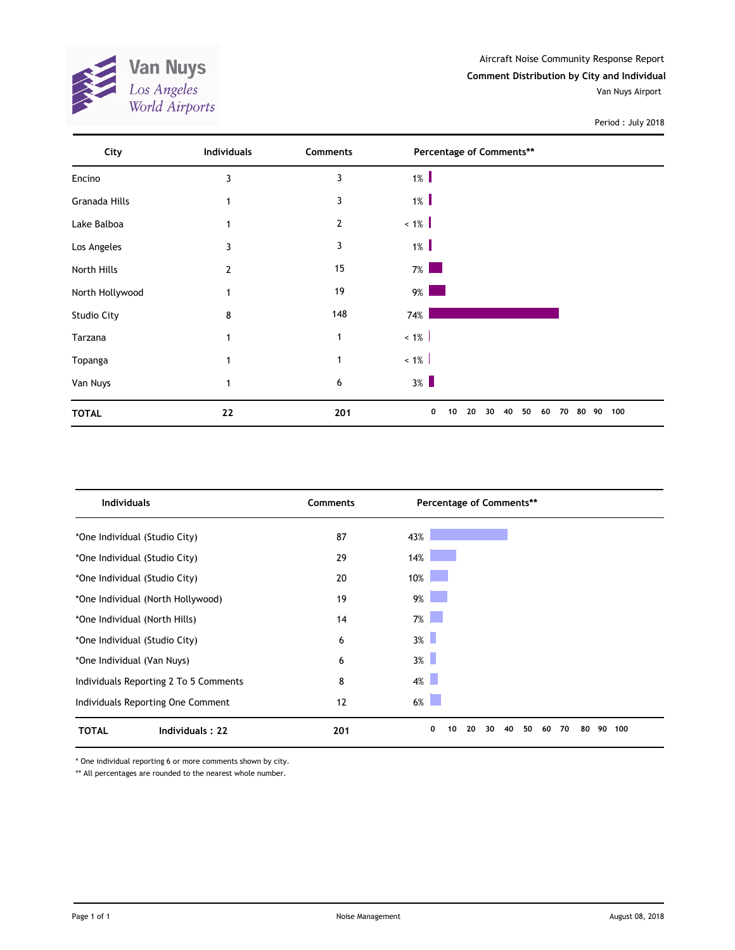

| City               | <b>Individuals</b> | Comments       | Percentage of Comments**                          |           |
|--------------------|--------------------|----------------|---------------------------------------------------|-----------|
| Encino             | 3                  | 3              | $1\%$                                             |           |
| Granada Hills      | 1                  | 3              | $1\%$                                             |           |
| Lake Balboa        |                    | $\overline{2}$ | $< 1\%$                                           |           |
| Los Angeles        | 3                  | 3              | $1\%$                                             |           |
| North Hills        | $\overline{2}$     | 15             | $7\%$                                             |           |
| North Hollywood    | $\mathbf{1}$       | 19             | $9\%$                                             |           |
| <b>Studio City</b> | 8                  | 148            | 74%                                               |           |
| Tarzana            | 1                  | 1              | $< 1\%$                                           |           |
| Topanga            | 1                  | $\mathbf{1}$   | $< 1\%$                                           |           |
| Van Nuys           | 1                  | 6              | $3\%$                                             |           |
| <b>TOTAL</b>       | 22                 | 201            | 0<br>20<br>30<br>40<br>50<br>10<br>60<br>70<br>80 | 100<br>90 |

| <b>Individuals</b>                    | <b>Comments</b> | Percentage of Comments**                                |     |
|---------------------------------------|-----------------|---------------------------------------------------------|-----|
| *One Individual (Studio City)         | 87              | 43%                                                     |     |
| *One Individual (Studio City)         | 29              | 14%                                                     |     |
| *One Individual (Studio City)         | 20              | 10%                                                     |     |
| *One Individual (North Hollywood)     | 19              | $9\%$                                                   |     |
| *One Individual (North Hills)         | 14              | $7\%$                                                   |     |
| *One Individual (Studio City)         | 6               | $3\%$                                                   |     |
| *One Individual (Van Nuys)            | 6               | $3\%$                                                   |     |
| Individuals Reporting 2 To 5 Comments | 8               | 4%                                                      |     |
| Individuals Reporting One Comment     | 12              | $6\%$                                                   |     |
| Individuals: 22<br><b>TOTAL</b>       | 201             | 0<br>90<br>20<br>30<br>50<br>70<br>80<br>10<br>40<br>60 | 100 |

\* One individual reporting 6 or more comments shown by city.

\*\* All percentages are rounded to the nearest whole number.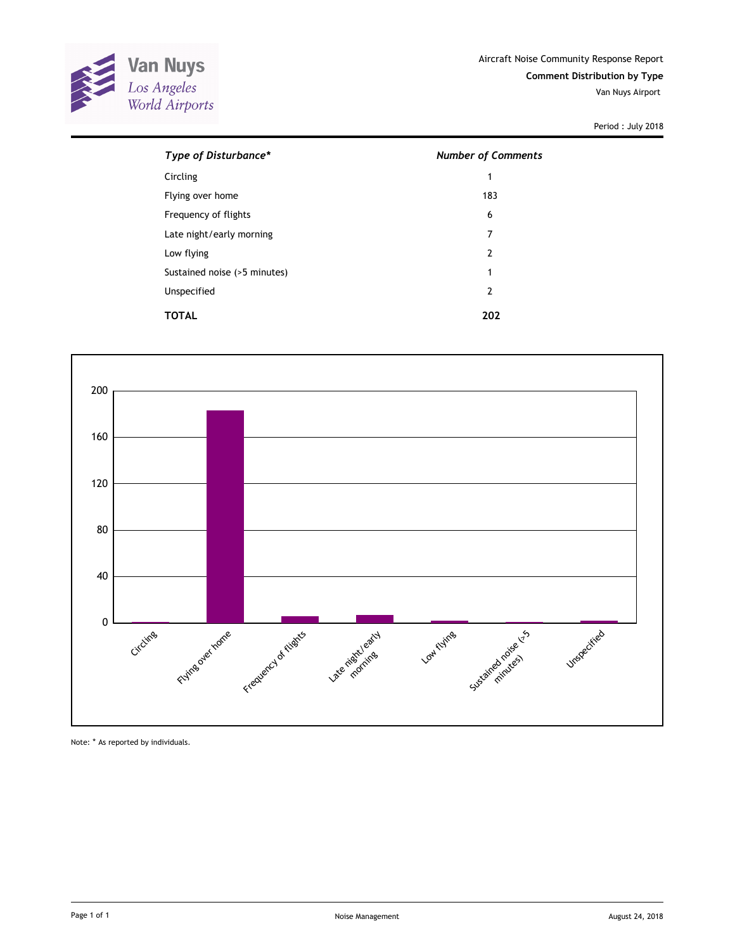

| Type of Disturbance*         | <b>Number of Comments</b> |  |  |
|------------------------------|---------------------------|--|--|
| Circling                     | 1                         |  |  |
| Flying over home             | 183                       |  |  |
| Frequency of flights         | 6                         |  |  |
| Late night/early morning     | 7                         |  |  |
| Low flying                   | $\overline{2}$            |  |  |
| Sustained noise (>5 minutes) | 1                         |  |  |
| Unspecified                  | 2                         |  |  |
| TOTAL                        | 202                       |  |  |



Note: \* As reported by individuals.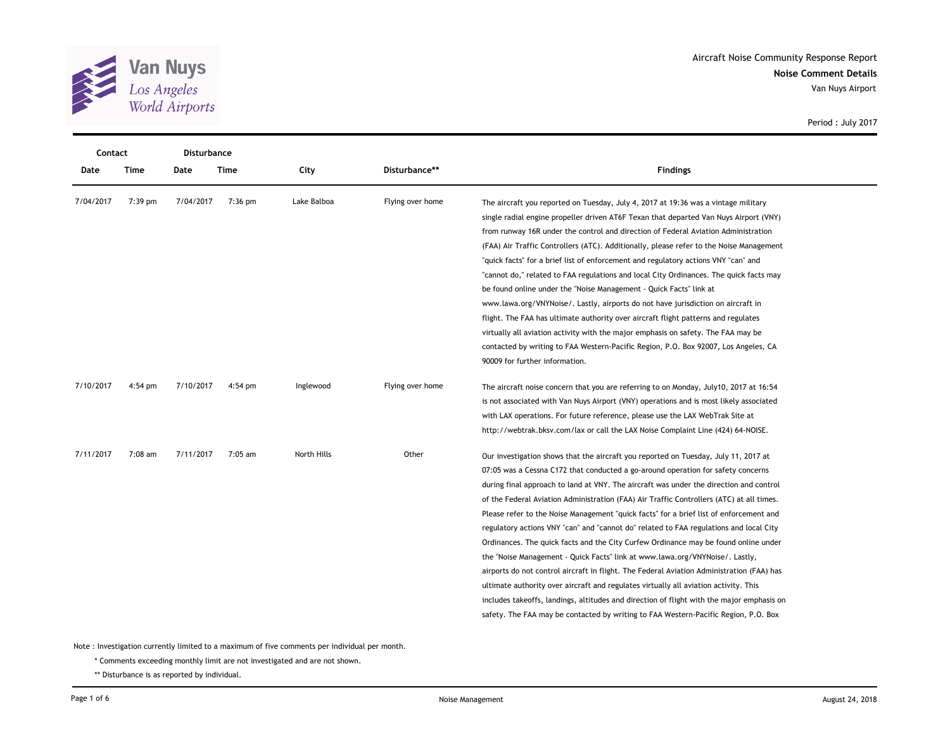

Van Nuys Airport

|           | Disturbance<br>Contact |           |           |             |                  |                                                                                                                                                                                                                                                                                                                                                                                                                                                                                                                                                                                                                                                                                                                                                                                                                                                                                                                                                                                                                                                                                                   |  |  |
|-----------|------------------------|-----------|-----------|-------------|------------------|---------------------------------------------------------------------------------------------------------------------------------------------------------------------------------------------------------------------------------------------------------------------------------------------------------------------------------------------------------------------------------------------------------------------------------------------------------------------------------------------------------------------------------------------------------------------------------------------------------------------------------------------------------------------------------------------------------------------------------------------------------------------------------------------------------------------------------------------------------------------------------------------------------------------------------------------------------------------------------------------------------------------------------------------------------------------------------------------------|--|--|
| Date      | Time                   | Date      | Time      | City        | Disturbance**    | <b>Findings</b>                                                                                                                                                                                                                                                                                                                                                                                                                                                                                                                                                                                                                                                                                                                                                                                                                                                                                                                                                                                                                                                                                   |  |  |
| 7/04/2017 | 7:39 pm                | 7/04/2017 | $7:36$ pm | Lake Balboa | Flying over home | The aircraft you reported on Tuesday, July 4, 2017 at 19:36 was a vintage military<br>single radial engine propeller driven AT6F Texan that departed Van Nuys Airport (VNY)<br>from runway 16R under the control and direction of Federal Aviation Administration<br>(FAA) Air Traffic Controllers (ATC). Additionally, please refer to the Noise Management<br>"quick facts" for a brief list of enforcement and regulatory actions VNY "can" and<br>"cannot do," related to FAA regulations and local City Ordinances. The quick facts may<br>be found online under the "Noise Management - Quick Facts" link at<br>www.lawa.org/VNYNoise/. Lastly, airports do not have jurisdiction on aircraft in<br>flight. The FAA has ultimate authority over aircraft flight patterns and regulates<br>virtually all aviation activity with the major emphasis on safety. The FAA may be                                                                                                                                                                                                                 |  |  |
|           |                        |           |           |             |                  | contacted by writing to FAA Western-Pacific Region, P.O. Box 92007, Los Angeles, CA<br>90009 for further information.                                                                                                                                                                                                                                                                                                                                                                                                                                                                                                                                                                                                                                                                                                                                                                                                                                                                                                                                                                             |  |  |
| 7/10/2017 | $4:54$ pm              | 7/10/2017 | 4:54 pm   | Inglewood   | Flying over home | The aircraft noise concern that you are referring to on Monday, July10, 2017 at 16:54<br>is not associated with Van Nuys Airport (VNY) operations and is most likely associated<br>with LAX operations. For future reference, please use the LAX WebTrak Site at<br>http://webtrak.bksv.com/lax or call the LAX Noise Complaint Line (424) 64-NOISE.                                                                                                                                                                                                                                                                                                                                                                                                                                                                                                                                                                                                                                                                                                                                              |  |  |
| 7/11/2017 | $7:08$ am              | 7/11/2017 | 7:05 am   | North Hills | Other            | Our investigation shows that the aircraft you reported on Tuesday, July 11, 2017 at<br>07:05 was a Cessna C172 that conducted a go-around operation for safety concerns<br>during final approach to land at VNY. The aircraft was under the direction and control<br>of the Federal Aviation Administration (FAA) Air Traffic Controllers (ATC) at all times.<br>Please refer to the Noise Management "quick facts" for a brief list of enforcement and<br>regulatory actions VNY "can" and "cannot do" related to FAA regulations and local City<br>Ordinances. The quick facts and the City Curfew Ordinance may be found online under<br>the "Noise Management - Quick Facts" link at www.lawa.org/VNYNoise/. Lastly,<br>airports do not control aircraft in flight. The Federal Aviation Administration (FAA) has<br>ultimate authority over aircraft and regulates virtually all aviation activity. This<br>includes takeoffs, landings, altitudes and direction of flight with the major emphasis on<br>safety. The FAA may be contacted by writing to FAA Western-Pacific Region, P.O. Box |  |  |

Period : July 2017

Note : Investigation currently limited to a maximum of five comments per individual per month.

\* Comments exceeding monthly limit are not investigated and are not shown.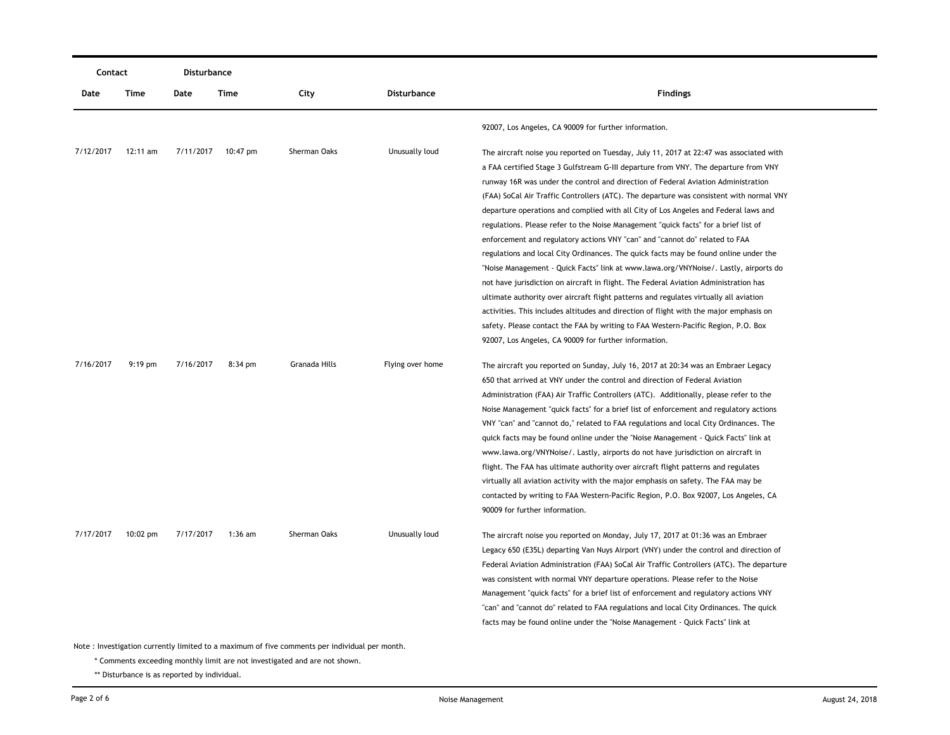| Contact   |           | Disturbance |                    |                                                                                             |                    |                                                                                          |  |
|-----------|-----------|-------------|--------------------|---------------------------------------------------------------------------------------------|--------------------|------------------------------------------------------------------------------------------|--|
| Date      | Time      | Date        | Time               | City                                                                                        | <b>Disturbance</b> | <b>Findings</b>                                                                          |  |
|           |           |             |                    |                                                                                             |                    | 92007, Los Angeles, CA 90009 for further information.                                    |  |
| 7/12/2017 | 12:11 am  |             | 7/11/2017 10:47 pm | Sherman Oaks                                                                                | Unusually loud     | The aircraft noise you reported on Tuesday, July 11, 2017 at 22:47 was associated with   |  |
|           |           |             |                    |                                                                                             |                    | a FAA certified Stage 3 Gulfstream G-III departure from VNY. The departure from VNY      |  |
|           |           |             |                    |                                                                                             |                    | runway 16R was under the control and direction of Federal Aviation Administration        |  |
|           |           |             |                    |                                                                                             |                    | (FAA) SoCal Air Traffic Controllers (ATC). The departure was consistent with normal VNY  |  |
|           |           |             |                    |                                                                                             |                    | departure operations and complied with all City of Los Angeles and Federal laws and      |  |
|           |           |             |                    |                                                                                             |                    | regulations. Please refer to the Noise Management "quick facts" for a brief list of      |  |
|           |           |             |                    |                                                                                             |                    | enforcement and regulatory actions VNY "can" and "cannot do" related to FAA              |  |
|           |           |             |                    |                                                                                             |                    | regulations and local City Ordinances. The quick facts may be found online under the     |  |
|           |           |             |                    |                                                                                             |                    | "Noise Management - Quick Facts" link at www.lawa.org/VNYNoise/. Lastly, airports do     |  |
|           |           |             |                    |                                                                                             |                    | not have jurisdiction on aircraft in flight. The Federal Aviation Administration has     |  |
|           |           |             |                    |                                                                                             |                    | ultimate authority over aircraft flight patterns and regulates virtually all aviation    |  |
|           |           |             |                    |                                                                                             |                    | activities. This includes altitudes and direction of flight with the major emphasis on   |  |
|           |           |             |                    |                                                                                             |                    | safety. Please contact the FAA by writing to FAA Western-Pacific Region, P.O. Box        |  |
|           |           |             |                    |                                                                                             |                    | 92007, Los Angeles, CA 90009 for further information.                                    |  |
| 7/16/2017 | $9:19$ pm | 7/16/2017   | 8:34 pm            | Granada Hills                                                                               | Flying over home   | The aircraft you reported on Sunday, July 16, 2017 at 20:34 was an Embraer Legacy        |  |
|           |           |             |                    |                                                                                             |                    | 650 that arrived at VNY under the control and direction of Federal Aviation              |  |
|           |           |             |                    |                                                                                             |                    | Administration (FAA) Air Traffic Controllers (ATC). Additionally, please refer to the    |  |
|           |           |             |                    |                                                                                             |                    | Noise Management "quick facts" for a brief list of enforcement and regulatory actions    |  |
|           |           |             |                    |                                                                                             |                    | VNY "can" and "cannot do," related to FAA regulations and local City Ordinances. The     |  |
|           |           |             |                    |                                                                                             |                    | quick facts may be found online under the "Noise Management - Quick Facts" link at       |  |
|           |           |             |                    |                                                                                             |                    | www.lawa.org/VNYNoise/. Lastly, airports do not have jurisdiction on aircraft in         |  |
|           |           |             |                    |                                                                                             |                    | flight. The FAA has ultimate authority over aircraft flight patterns and regulates       |  |
|           |           |             |                    |                                                                                             |                    | virtually all aviation activity with the major emphasis on safety. The FAA may be        |  |
|           |           |             |                    |                                                                                             |                    | contacted by writing to FAA Western-Pacific Region, P.O. Box 92007, Los Angeles, CA      |  |
|           |           |             |                    |                                                                                             |                    | 90009 for further information.                                                           |  |
| 7/17/2017 | 10:02 pm  | 7/17/2017   | $1:36$ am          | Sherman Oaks                                                                                | Unusually loud     | The aircraft noise you reported on Monday, July 17, 2017 at 01:36 was an Embraer         |  |
|           |           |             |                    |                                                                                             |                    | Legacy 650 (E35L) departing Van Nuys Airport (VNY) under the control and direction of    |  |
|           |           |             |                    |                                                                                             |                    | Federal Aviation Administration (FAA) SoCal Air Traffic Controllers (ATC). The departure |  |
|           |           |             |                    |                                                                                             |                    | was consistent with normal VNY departure operations. Please refer to the Noise           |  |
|           |           |             |                    |                                                                                             |                    | Management "quick facts" for a brief list of enforcement and regulatory actions VNY      |  |
|           |           |             |                    |                                                                                             |                    | "can" and "cannot do" related to FAA regulations and local City Ordinances. The quick    |  |
|           |           |             |                    |                                                                                             |                    | facts may be found online under the "Noise Management - Quick Facts" link at             |  |
|           |           |             |                    |                                                                                             |                    |                                                                                          |  |
|           |           |             |                    | to : Investigation currently limited to a maximum of five comments nor individual per month |                    |                                                                                          |  |

\* Comments exceeding monthly limit are not investigated and are not shown.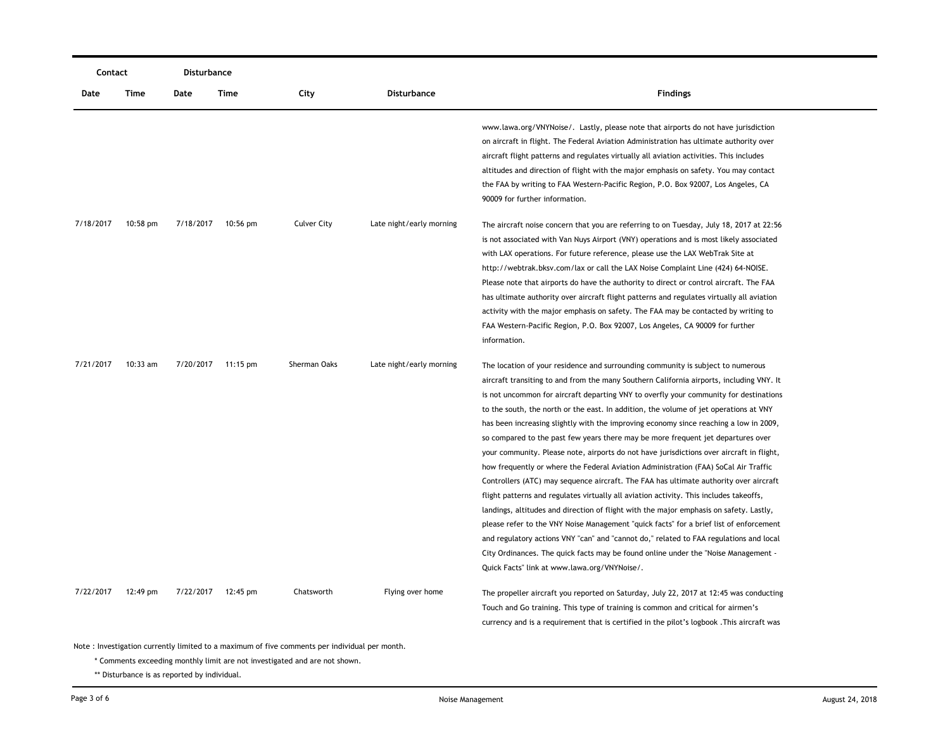| Contact   |            | Disturbance |            |                    |                          |                                                                                                                                                                                                                                                                                                                                                                                                                                                                                                                                                                                                                                                                                                                                                                                                                                                                                                                                                                                                                                                                                                                                                                                                                                                                                                                                      |
|-----------|------------|-------------|------------|--------------------|--------------------------|--------------------------------------------------------------------------------------------------------------------------------------------------------------------------------------------------------------------------------------------------------------------------------------------------------------------------------------------------------------------------------------------------------------------------------------------------------------------------------------------------------------------------------------------------------------------------------------------------------------------------------------------------------------------------------------------------------------------------------------------------------------------------------------------------------------------------------------------------------------------------------------------------------------------------------------------------------------------------------------------------------------------------------------------------------------------------------------------------------------------------------------------------------------------------------------------------------------------------------------------------------------------------------------------------------------------------------------|
| Date      | Time       | Date        | Time       | City               | Disturbance              | <b>Findings</b>                                                                                                                                                                                                                                                                                                                                                                                                                                                                                                                                                                                                                                                                                                                                                                                                                                                                                                                                                                                                                                                                                                                                                                                                                                                                                                                      |
|           |            |             |            |                    |                          | www.lawa.org/VNYNoise/. Lastly, please note that airports do not have jurisdiction<br>on aircraft in flight. The Federal Aviation Administration has ultimate authority over<br>aircraft flight patterns and regulates virtually all aviation activities. This includes<br>altitudes and direction of flight with the major emphasis on safety. You may contact<br>the FAA by writing to FAA Western-Pacific Region, P.O. Box 92007, Los Angeles, CA<br>90009 for further information.                                                                                                                                                                                                                                                                                                                                                                                                                                                                                                                                                                                                                                                                                                                                                                                                                                               |
| 7/18/2017 | $10:58$ pm | 7/18/2017   | $10:56$ pm | <b>Culver City</b> | Late night/early morning | The aircraft noise concern that you are referring to on Tuesday, July 18, 2017 at 22:56<br>is not associated with Van Nuys Airport (VNY) operations and is most likely associated<br>with LAX operations. For future reference, please use the LAX WebTrak Site at<br>http://webtrak.bksv.com/lax or call the LAX Noise Complaint Line (424) 64-NOISE.<br>Please note that airports do have the authority to direct or control aircraft. The FAA<br>has ultimate authority over aircraft flight patterns and regulates virtually all aviation<br>activity with the major emphasis on safety. The FAA may be contacted by writing to<br>FAA Western-Pacific Region, P.O. Box 92007, Los Angeles, CA 90009 for further<br>information.                                                                                                                                                                                                                                                                                                                                                                                                                                                                                                                                                                                                 |
| 7/21/2017 | 10:33 am   | 7/20/2017   | 11:15 pm   | Sherman Oaks       | Late night/early morning | The location of your residence and surrounding community is subject to numerous<br>aircraft transiting to and from the many Southern California airports, including VNY. It<br>is not uncommon for aircraft departing VNY to overfly your community for destinations<br>to the south, the north or the east. In addition, the volume of jet operations at VNY<br>has been increasing slightly with the improving economy since reaching a low in 2009,<br>so compared to the past few years there may be more frequent jet departures over<br>your community. Please note, airports do not have jurisdictions over aircraft in flight,<br>how frequently or where the Federal Aviation Administration (FAA) SoCal Air Traffic<br>Controllers (ATC) may sequence aircraft. The FAA has ultimate authority over aircraft<br>flight patterns and regulates virtually all aviation activity. This includes takeoffs,<br>landings, altitudes and direction of flight with the major emphasis on safety. Lastly,<br>please refer to the VNY Noise Management "quick facts" for a brief list of enforcement<br>and regulatory actions VNY "can" and "cannot do," related to FAA regulations and local<br>City Ordinances. The quick facts may be found online under the "Noise Management -<br>Quick Facts" link at www.lawa.org/VNYNoise/. |
| 7/22/2017 | 12:49 pm   | 7/22/2017   | 12:45 pm   | Chatsworth         | Flying over home         | The propeller aircraft you reported on Saturday, July 22, 2017 at 12:45 was conducting<br>Touch and Go training. This type of training is common and critical for airmen's<br>currency and is a requirement that is certified in the pilot's logbook. This aircraft was                                                                                                                                                                                                                                                                                                                                                                                                                                                                                                                                                                                                                                                                                                                                                                                                                                                                                                                                                                                                                                                              |

\* Comments exceeding monthly limit are not investigated and are not shown.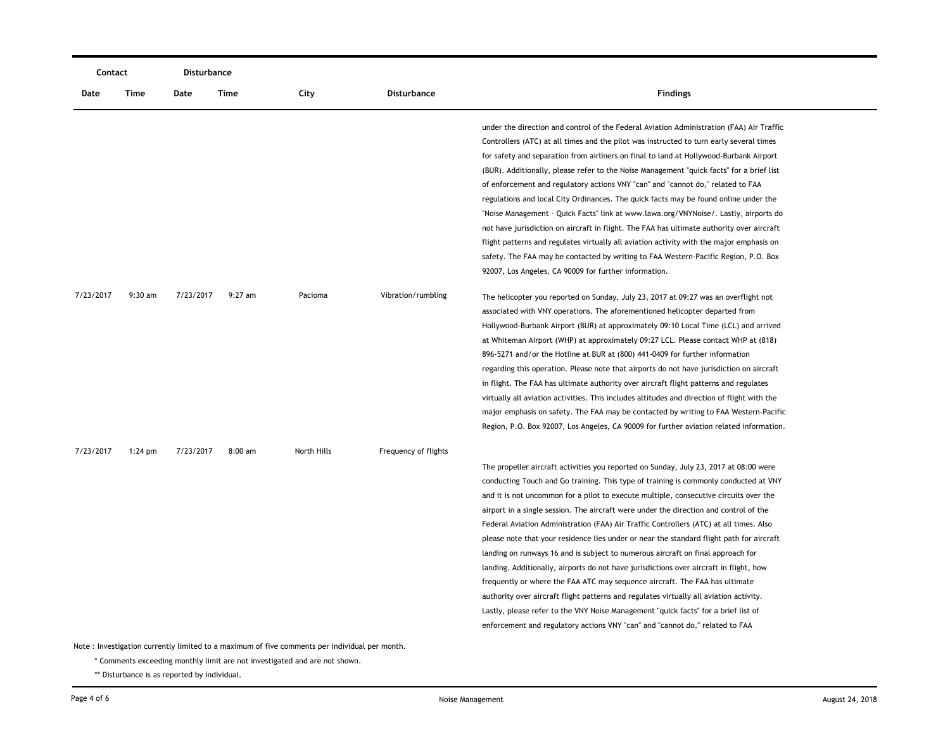| Contact   |           |           | Disturbance |             |                      |                                                                                                                                                                                                                                                                                                                                                                                                                                                                                                                                                                                                                                                                                                                                                                                                                                                                                                                                                                                                                                                                                   |
|-----------|-----------|-----------|-------------|-------------|----------------------|-----------------------------------------------------------------------------------------------------------------------------------------------------------------------------------------------------------------------------------------------------------------------------------------------------------------------------------------------------------------------------------------------------------------------------------------------------------------------------------------------------------------------------------------------------------------------------------------------------------------------------------------------------------------------------------------------------------------------------------------------------------------------------------------------------------------------------------------------------------------------------------------------------------------------------------------------------------------------------------------------------------------------------------------------------------------------------------|
| Date      | Time      | Date      | Time        | City        | <b>Disturbance</b>   | <b>Findings</b>                                                                                                                                                                                                                                                                                                                                                                                                                                                                                                                                                                                                                                                                                                                                                                                                                                                                                                                                                                                                                                                                   |
|           |           |           |             |             |                      | under the direction and control of the Federal Aviation Administration (FAA) Air Traffic<br>Controllers (ATC) at all times and the pilot was instructed to turn early several times<br>for safety and separation from airliners on final to land at Hollywood-Burbank Airport<br>(BUR). Additionally, please refer to the Noise Management "quick facts" for a brief list<br>of enforcement and regulatory actions VNY "can" and "cannot do," related to FAA<br>regulations and local City Ordinances. The quick facts may be found online under the<br>"Noise Management - Quick Facts" link at www.lawa.org/VNYNoise/. Lastly, airports do<br>not have jurisdiction on aircraft in flight. The FAA has ultimate authority over aircraft<br>flight patterns and regulates virtually all aviation activity with the major emphasis on<br>safety. The FAA may be contacted by writing to FAA Western-Pacific Region, P.O. Box                                                                                                                                                      |
| 7/23/2017 | $9:30$ am | 7/23/2017 | $9:27$ am   | Pacioma     | Vibration/rumbling   | 92007, Los Angeles, CA 90009 for further information.<br>The helicopter you reported on Sunday, July 23, 2017 at 09:27 was an overflight not<br>associated with VNY operations. The aforementioned helicopter departed from<br>Hollywood-Burbank Airport (BUR) at approximately 09:10 Local Time (LCL) and arrived<br>at Whiteman Airport (WHP) at approximately 09:27 LCL. Please contact WHP at (818)<br>896-5271 and/or the Hotline at BUR at (800) 441-0409 for further information<br>regarding this operation. Please note that airports do not have jurisdiction on aircraft<br>in flight. The FAA has ultimate authority over aircraft flight patterns and regulates<br>virtually all aviation activities. This includes altitudes and direction of flight with the<br>major emphasis on safety. The FAA may be contacted by writing to FAA Western-Pacific<br>Region, P.O. Box 92007, Los Angeles, CA 90009 for further aviation related information.                                                                                                                    |
| 7/23/2017 | $1:24$ pm | 7/23/2017 | $8:00$ am   | North Hills | Frequency of flights | The propeller aircraft activities you reported on Sunday, July 23, 2017 at 08:00 were<br>conducting Touch and Go training. This type of training is commonly conducted at VNY<br>and it is not uncommon for a pilot to execute multiple, consecutive circuits over the<br>airport in a single session. The aircraft were under the direction and control of the<br>Federal Aviation Administration (FAA) Air Traffic Controllers (ATC) at all times. Also<br>please note that your residence lies under or near the standard flight path for aircraft<br>landing on runways 16 and is subject to numerous aircraft on final approach for<br>landing. Additionally, airports do not have jurisdictions over aircraft in flight, how<br>frequently or where the FAA ATC may sequence aircraft. The FAA has ultimate<br>authority over aircraft flight patterns and regulates virtually all aviation activity.<br>Lastly, please refer to the VNY Noise Management "quick facts" for a brief list of<br>enforcement and regulatory actions VNY "can" and "cannot do," related to FAA |

\* Comments exceeding monthly limit are not investigated and are not shown.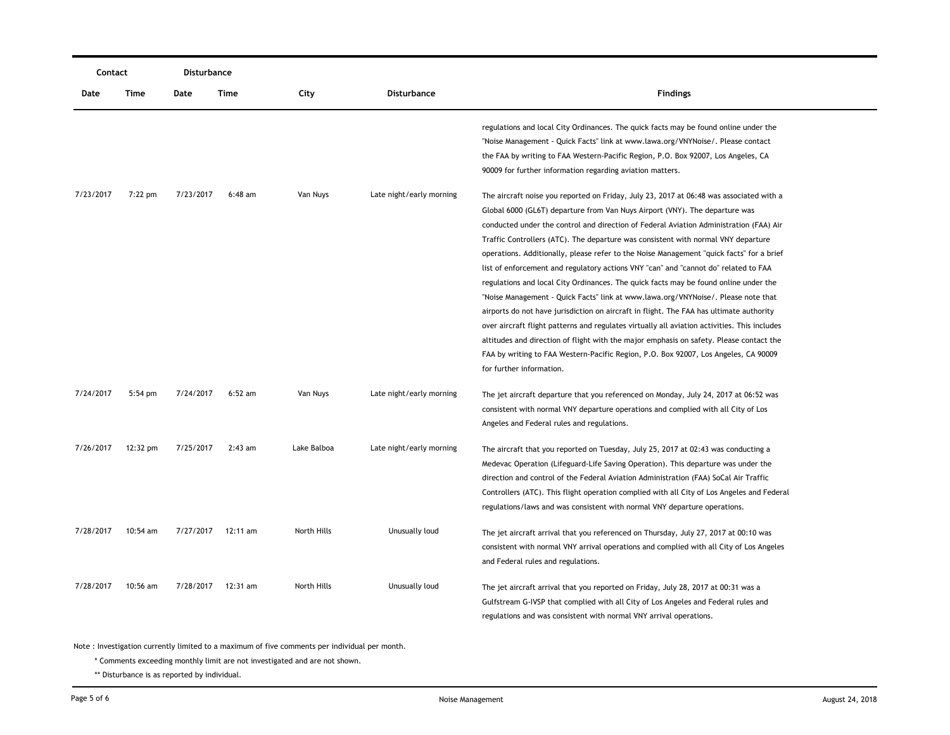| Contact   |            | Disturbance |            |             |                          |                                                                                                                                                                         |
|-----------|------------|-------------|------------|-------------|--------------------------|-------------------------------------------------------------------------------------------------------------------------------------------------------------------------|
| Date      | Time       | Date        | Time       | City        | <b>Disturbance</b>       | <b>Findings</b>                                                                                                                                                         |
|           |            |             |            |             |                          | regulations and local City Ordinances. The quick facts may be found online under the<br>"Noise Management - Quick Facts" link at www.lawa.org/VNYNoise/. Please contact |
|           |            |             |            |             |                          | the FAA by writing to FAA Western-Pacific Region, P.O. Box 92007, Los Angeles, CA                                                                                       |
|           |            |             |            |             |                          | 90009 for further information regarding aviation matters.                                                                                                               |
| 7/23/2017 | 7:22 pm    | 7/23/2017   | $6:48$ am  | Van Nuys    | Late night/early morning | The aircraft noise you reported on Friday, July 23, 2017 at 06:48 was associated with a                                                                                 |
|           |            |             |            |             |                          | Global 6000 (GL6T) departure from Van Nuys Airport (VNY). The departure was                                                                                             |
|           |            |             |            |             |                          | conducted under the control and direction of Federal Aviation Administration (FAA) Air                                                                                  |
|           |            |             |            |             |                          | Traffic Controllers (ATC). The departure was consistent with normal VNY departure                                                                                       |
|           |            |             |            |             |                          | operations. Additionally, please refer to the Noise Management "quick facts" for a brief                                                                                |
|           |            |             |            |             |                          | list of enforcement and regulatory actions VNY "can" and "cannot do" related to FAA                                                                                     |
|           |            |             |            |             |                          | regulations and local City Ordinances. The quick facts may be found online under the                                                                                    |
|           |            |             |            |             |                          | "Noise Management - Quick Facts" link at www.lawa.org/VNYNoise/. Please note that                                                                                       |
|           |            |             |            |             |                          | airports do not have jurisdiction on aircraft in flight. The FAA has ultimate authority                                                                                 |
|           |            |             |            |             |                          | over aircraft flight patterns and regulates virtually all aviation activities. This includes                                                                            |
|           |            |             |            |             |                          | altitudes and direction of flight with the major emphasis on safety. Please contact the                                                                                 |
|           |            |             |            |             |                          | FAA by writing to FAA Western-Pacific Region, P.O. Box 92007, Los Angeles, CA 90009                                                                                     |
|           |            |             |            |             |                          | for further information.                                                                                                                                                |
| 7/24/2017 | $5:54$ pm  | 7/24/2017   | $6:52$ am  | Van Nuys    | Late night/early morning | The jet aircraft departure that you referenced on Monday, July 24, 2017 at 06:52 was                                                                                    |
|           |            |             |            |             |                          | consistent with normal VNY departure operations and complied with all City of Los                                                                                       |
|           |            |             |            |             |                          | Angeles and Federal rules and regulations.                                                                                                                              |
| 7/26/2017 | 12:32 pm   | 7/25/2017   | $2:43$ am  | Lake Balboa | Late night/early morning | The aircraft that you reported on Tuesday, July 25, 2017 at 02:43 was conducting a                                                                                      |
|           |            |             |            |             |                          | Medevac Operation (Lifeguard-Life Saving Operation). This departure was under the                                                                                       |
|           |            |             |            |             |                          | direction and control of the Federal Aviation Administration (FAA) SoCal Air Traffic                                                                                    |
|           |            |             |            |             |                          | Controllers (ATC). This flight operation complied with all City of Los Angeles and Federal                                                                              |
|           |            |             |            |             |                          | regulations/laws and was consistent with normal VNY departure operations.                                                                                               |
| 7/28/2017 | $10:54$ am | 7/27/2017   | $12:11$ am | North Hills | Unusually loud           | The jet aircraft arrival that you referenced on Thursday, July 27, 2017 at 00:10 was                                                                                    |
|           |            |             |            |             |                          | consistent with normal VNY arrival operations and complied with all City of Los Angeles                                                                                 |
|           |            |             |            |             |                          | and Federal rules and regulations.                                                                                                                                      |
| 7/28/2017 | $10:56$ am | 7/28/2017   | 12:31 am   | North Hills | Unusually loud           | The jet aircraft arrival that you reported on Friday, July 28, 2017 at 00:31 was a                                                                                      |
|           |            |             |            |             |                          | Gulfstream G-IVSP that complied with all City of Los Angeles and Federal rules and                                                                                      |
|           |            |             |            |             |                          | regulations and was consistent with normal VNY arrival operations.                                                                                                      |

\* Comments exceeding monthly limit are not investigated and are not shown.